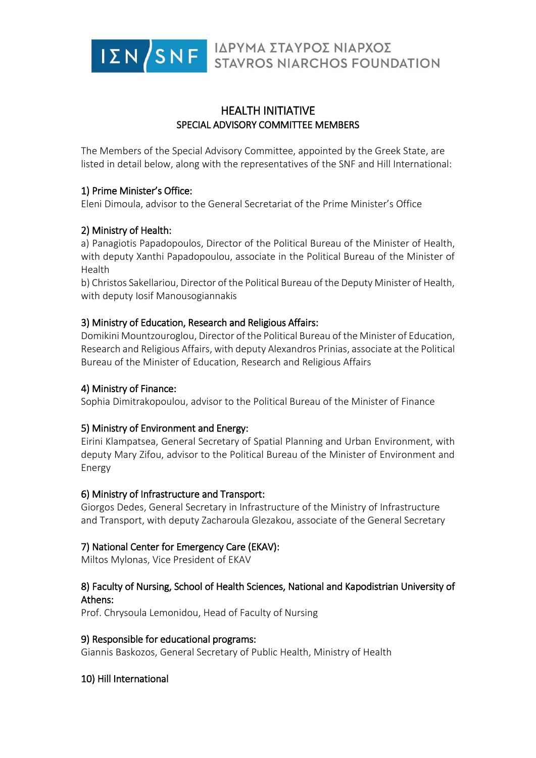

# HEALTH INITIATIVE SPECIAL ADVISORY COMMITTEE MEMBERS

The Members of the Special Advisory Committee, appointed by the Greek State, are listed in detail below, along with the representatives of the SNF and Hill International:

### 1) Prime Minister's Office:

Eleni Dimoula, advisor to the General Secretariat of the Prime Minister's Office

## 2) Ministry of Health:

a) Panagiotis Papadopoulos, Director of the Political Bureau of the Minister of Health, with deputy Xanthi Papadopoulou, associate in the Political Bureau of the Minister of Health

b) Christos Sakellariou, Director of the Political Bureau of the Deputy Minister of Health, with deputy Iosif Manousogiannakis

### 3) Ministry of Education, Research and Religious Affairs:

Domikini Mountzouroglou, Director of the Political Bureau of the Minister of Education, Research and Religious Affairs, with deputy Alexandros Prinias, associate at the Political Bureau of the Minister of Education, Research and Religious Affairs

#### 4) Ministry of Finance:

Sophia Dimitrakopoulou, advisor to the Political Bureau of the Minister of Finance

#### 5) Ministry of Environment and Energy:

Eirini Klampatsea, General Secretary of Spatial Planning and Urban Environment, with deputy Mary Zifou, advisor to the Political Bureau of the Minister of Environment and Energy

#### 6) Ministry of Infrastructure and Transport:

Giorgos Dedes, General Secretary in Infrastructure of the Ministry of Infrastructure and Transport, with deputy Zacharoula Glezakou, associate of the General Secretary

## 7) National Center for Emergency Care (EKAV):

Miltos Mylonas, Vice President of EKAV

## 8) Faculty of Nursing, School of Health Sciences, National and Kapodistrian University of Athens:

Prof. Chrysoula Lemonidou, Head of Faculty of Nursing

#### 9) Responsible for educational programs:

Giannis Baskozos, General Secretary of Public Health, Ministry of Health

#### 10) Hill International